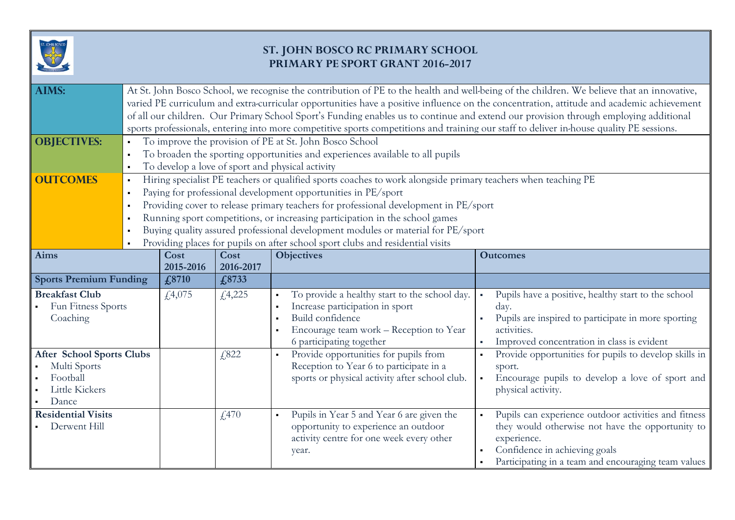

## **ST. JOHN BOSCO RC PRIMARY SCHOOL PRIMARY PE SPORT GRANT 2016-2017**

| <b>AIMS:</b>                                                                            | At St. John Bosco School, we recognise the contribution of PE to the health and well-being of the children. We believe that an innovative,<br>varied PE curriculum and extra-curricular opportunities have a positive influence on the concentration, attitude and academic achievement<br>of all our children. Our Primary School Sport's Funding enables us to continue and extend our provision through employing additional<br>sports professionals, entering into more competitive sports competitions and training our staff to deliver in-house quality PE sessions.                         |                   |                   |                                                                                                                                                                             |                                                                                                                                                                                                                 |  |  |  |
|-----------------------------------------------------------------------------------------|-----------------------------------------------------------------------------------------------------------------------------------------------------------------------------------------------------------------------------------------------------------------------------------------------------------------------------------------------------------------------------------------------------------------------------------------------------------------------------------------------------------------------------------------------------------------------------------------------------|-------------------|-------------------|-----------------------------------------------------------------------------------------------------------------------------------------------------------------------------|-----------------------------------------------------------------------------------------------------------------------------------------------------------------------------------------------------------------|--|--|--|
| <b>OBJECTIVES:</b>                                                                      | To improve the provision of PE at St. John Bosco School<br>To broaden the sporting opportunities and experiences available to all pupils<br>To develop a love of sport and physical activity                                                                                                                                                                                                                                                                                                                                                                                                        |                   |                   |                                                                                                                                                                             |                                                                                                                                                                                                                 |  |  |  |
| <b>OUTCOMES</b>                                                                         | Hiring specialist PE teachers or qualified sports coaches to work alongside primary teachers when teaching PE<br>$\blacksquare$<br>Paying for professional development opportunities in PE/sport<br>$\blacksquare$<br>Providing cover to release primary teachers for professional development in PE/sport<br>$\blacksquare$<br>Running sport competitions, or increasing participation in the school games<br>$\blacksquare$<br>Buying quality assured professional development modules or material for PE/sport<br>Providing places for pupils on after school sport clubs and residential visits |                   |                   |                                                                                                                                                                             |                                                                                                                                                                                                                 |  |  |  |
| <b>Aims</b>                                                                             |                                                                                                                                                                                                                                                                                                                                                                                                                                                                                                                                                                                                     | Cost<br>2015-2016 | Cost<br>2016-2017 | <b>Objectives</b>                                                                                                                                                           | <b>Outcomes</b>                                                                                                                                                                                                 |  |  |  |
| <b>Sports Premium Funding</b>                                                           |                                                                                                                                                                                                                                                                                                                                                                                                                                                                                                                                                                                                     | £8710             | £8733             |                                                                                                                                                                             |                                                                                                                                                                                                                 |  |  |  |
| <b>Breakfast Club</b><br>Fun Fitness Sports<br>Coaching                                 |                                                                                                                                                                                                                                                                                                                                                                                                                                                                                                                                                                                                     | £4,075            | f, 4, 225         | To provide a healthy start to the school day.<br>Increase participation in sport<br>Build confidence<br>Encourage team work - Reception to Year<br>6 participating together | Pupils have a positive, healthy start to the school<br>day.<br>Pupils are inspired to participate in more sporting<br>activities.<br>Improved concentration in class is evident                                 |  |  |  |
| <b>After School Sports Clubs</b><br>Multi Sports<br>Football<br>Little Kickers<br>Dance |                                                                                                                                                                                                                                                                                                                                                                                                                                                                                                                                                                                                     |                   | £,822             | Provide opportunities for pupils from<br>Reception to Year 6 to participate in a<br>sports or physical activity after school club.                                          | Provide opportunities for pupils to develop skills in<br>sport.<br>Encourage pupils to develop a love of sport and<br>physical activity.                                                                        |  |  |  |
| <b>Residential Visits</b><br>Derwent Hill                                               |                                                                                                                                                                                                                                                                                                                                                                                                                                                                                                                                                                                                     |                   | f470              | Pupils in Year 5 and Year 6 are given the<br>$\blacksquare$<br>opportunity to experience an outdoor<br>activity centre for one week every other<br>year.                    | Pupils can experience outdoor activities and fitness<br>they would otherwise not have the opportunity to<br>experience.<br>Confidence in achieving goals<br>Participating in a team and encouraging team values |  |  |  |